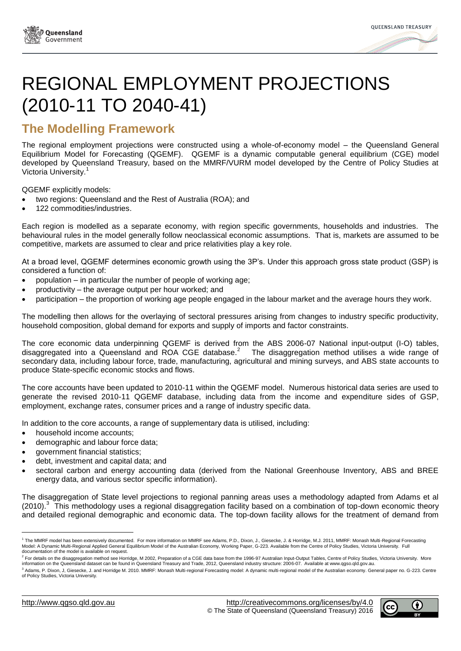



# REGIONAL EMPLOYMENT PROJECTIONS (2010-11 TO 2040-41)

## **The Modelling Framework**

The regional employment projections were constructed using a whole-of-economy model – the Queensland General Equilibrium Model for Forecasting (QGEMF). QGEMF is a dynamic computable general equilibrium (CGE) model developed by Queensland Treasury, based on the MMRF/VURM model developed by the Centre of Policy Studies at Victoria University.<sup>1</sup>

QGEMF explicitly models:

- two regions: Queensland and the Rest of Australia (ROA); and
- 122 commodities/industries.

Each region is modelled as a separate economy, with region specific governments, households and industries. The behavioural rules in the model generally follow neoclassical economic assumptions. That is, markets are assumed to be competitive, markets are assumed to clear and price relativities play a key role.

At a broad level, QGEMF determines economic growth using the 3P's. Under this approach gross state product (GSP) is considered a function of:

- population in particular the number of people of working age;
- productivity the average output per hour worked; and
- participation the proportion of working age people engaged in the labour market and the average hours they work.

The modelling then allows for the overlaying of sectoral pressures arising from changes to industry specific productivity, household composition, global demand for exports and supply of imports and factor constraints.

The core economic data underpinning QGEMF is derived from the ABS 2006-07 National input-output (I-O) tables, disaggregated into a Queensland and ROA CGE database.<sup>2</sup> The disaggregation method utilises a wide range of secondary data, including labour force, trade, manufacturing, agricultural and mining surveys, and ABS state accounts to produce State-specific economic stocks and flows.

The core accounts have been updated to 2010-11 within the QGEMF model. Numerous historical data series are used to generate the revised 2010-11 QGEMF database, including data from the income and expenditure sides of GSP, employment, exchange rates, consumer prices and a range of industry specific data.

In addition to the core accounts, a range of supplementary data is utilised, including:

- household income accounts;
- demographic and labour force data;
- government financial statistics;
- debt, investment and capital data; and
- sectoral carbon and energy accounting data (derived from the National Greenhouse Inventory, ABS and BREE energy data, and various sector specific information).

The disaggregation of State level projections to regional panning areas uses a methodology adapted from Adams et al (2010).<sup>3</sup> This methodology uses a regional disaggregation facility based on a combination of top-down economic theory and detailed regional demographic and economic data. The top-down facility allows for the treatment of demand from

l



<sup>&</sup>lt;sup>1</sup> The MMRF model has been extensively documented. For more information on MMRF see Adams, P.D., Dixon, J., Giesecke, J. & Horridge, M.J. 2011, MMRF: Monash Multi-Regional Forecasting Model: A Dynamic Multi-Regional Applied General Equilibrium Model of the Australian Economy, Working Paper, G-223. Available from the Centre of Policy Studies, Victoria University. Full<br>documentation of the model is availa

<sup>&</sup>lt;sup>2</sup> For details on the disaggregation method see Horridge, M 2002, Preparation of a CGE data base from the 1996-97 Australian Input-Output Tables, Centre of Policy Studies, Victoria University. More information on the Queensland dataset can be found in Queensland Treasury and Trade, 2012, Queensland industry structure: 2006-07. Available at www.qgso.qld.gov.au.

<sup>&</sup>lt;sup>3</sup> Adams, P. Dixon, J, Giesecke, J. and Horridge M. 2010. MMRF: Monash Multi-regional Forecasting model: A dynamic multi-regional model of the Australian economy. General paper no. G-223. Centre of Policy Studies, Victoria University.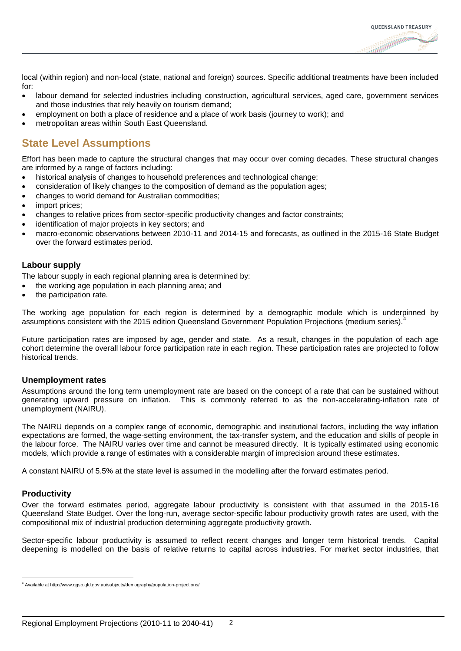

local (within region) and non-local (state, national and foreign) sources. Specific additional treatments have been included for:

- labour demand for selected industries including construction, agricultural services, aged care, government services and those industries that rely heavily on tourism demand;
- employment on both a place of residence and a place of work basis (journey to work); and
- metropolitan areas within South East Queensland.

## **State Level Assumptions**

Effort has been made to capture the structural changes that may occur over coming decades. These structural changes are informed by a range of factors including:

- historical analysis of changes to household preferences and technological change;
- consideration of likely changes to the composition of demand as the population ages;
- changes to world demand for Australian commodities;
- import prices;
- changes to relative prices from sector-specific productivity changes and factor constraints;
- identification of major projects in key sectors; and
- macro-economic observations between 2010-11 and 2014-15 and forecasts, as outlined in the 2015-16 State Budget over the forward estimates period.

#### **Labour supply**

The labour supply in each regional planning area is determined by:

- the working age population in each planning area; and
- the participation rate.

The working age population for each region is determined by a demographic module which is underpinned by assumptions consistent with the 2015 edition Queensland Government Population Projections (medium series).

Future participation rates are imposed by age, gender and state. As a result, changes in the population of each age cohort determine the overall labour force participation rate in each region. These participation rates are projected to follow historical trends.

#### **Unemployment rates**

Assumptions around the long term unemployment rate are based on the concept of a rate that can be sustained without generating upward pressure on inflation. This is commonly referred to as the non-accelerating-inflation rate of unemployment (NAIRU).

The NAIRU depends on a complex range of economic, demographic and institutional factors, including the way inflation expectations are formed, the wage-setting environment, the tax-transfer system, and the education and skills of people in the labour force. The NAIRU varies over time and cannot be measured directly. It is typically estimated using economic models, which provide a range of estimates with a considerable margin of imprecision around these estimates.

A constant NAIRU of 5.5% at the state level is assumed in the modelling after the forward estimates period.

#### **Productivity**

l

Over the forward estimates period, aggregate labour productivity is consistent with that assumed in the 2015-16 Queensland State Budget. Over the long-run, average sector-specific labour productivity growth rates are used, with the compositional mix of industrial production determining aggregate productivity growth.

Sector-specific labour productivity is assumed to reflect recent changes and longer term historical trends. Capital deepening is modelled on the basis of relative returns to capital across industries. For market sector industries, that

<sup>4</sup> Available at http://www.qgso.qld.gov.au/subjects/demography/population-projections/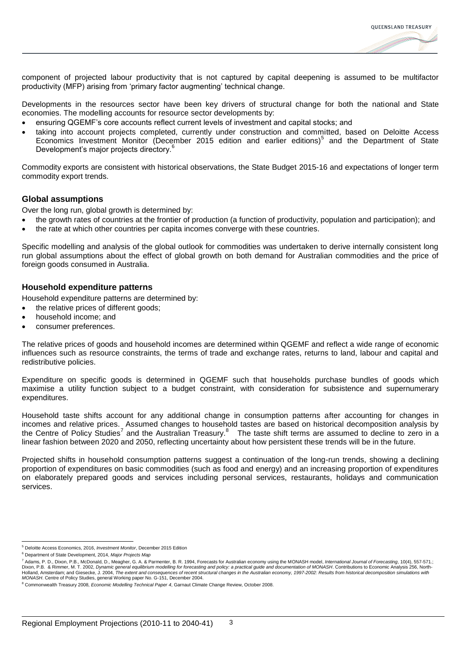

component of projected labour productivity that is not captured by capital deepening is assumed to be multifactor productivity (MFP) arising from 'primary factor augmenting' technical change.

Developments in the resources sector have been key drivers of structural change for both the national and State economies. The modelling accounts for resource sector developments by:

- ensuring QGEMF's core accounts reflect current levels of investment and capital stocks; and
- taking into account projects completed, currently under construction and committed, based on Deloitte Access Economics Investment Monitor (December 2015 edition and earlier editions)<sup>5</sup> and the Department of State Development's major projects directory.<sup>6</sup>

Commodity exports are consistent with historical observations, the State Budget 2015-16 and expectations of longer term commodity export trends.

#### **Global assumptions**

Over the long run, global growth is determined by:

- the growth rates of countries at the frontier of production (a function of productivity, population and participation); and
- the rate at which other countries per capita incomes converge with these countries.

Specific modelling and analysis of the global outlook for commodities was undertaken to derive internally consistent long run global assumptions about the effect of global growth on both demand for Australian commodities and the price of foreign goods consumed in Australia.

#### **Household expenditure patterns**

Household expenditure patterns are determined by:

- the relative prices of different goods;
- household income; and
- consumer preferences.

The relative prices of goods and household incomes are determined within QGEMF and reflect a wide range of economic influences such as resource constraints, the terms of trade and exchange rates, returns to land, labour and capital and redistributive policies.

Expenditure on specific goods is determined in QGEMF such that households purchase bundles of goods which maximise a utility function subject to a budget constraint, with consideration for subsistence and supernumerary expenditures.

Household taste shifts account for any additional change in consumption patterns after accounting for changes in incomes and relative prices. Assumed changes to household tastes are based on historical decomposition analysis by the Centre of Policy Studies<sup>7</sup> and the Australian Treasury.<sup>8</sup> The taste shift terms are assumed to decline to zero in a linear fashion between 2020 and 2050, reflecting uncertainty about how persistent these trends will be in the future.

Projected shifts in household consumption patterns suggest a continuation of the long-run trends, showing a declining proportion of expenditures on basic commodities (such as food and energy) and an increasing proportion of expenditures on elaborately prepared goods and services including personal services, restaurants, holidays and communication services.

l

<sup>5</sup> Deloitte Access Economics, 2016, *Investment Monitor*, December 2015 Edition

<sup>6</sup> Department of State Development, 2014, *Major Projects Map*

<sup>&</sup>lt;sup>7</sup> Adams, P. D., Dixon, P.B., McDonald, D., Meagher, G. A. & Parmenter, B. R. 1994, Forecasts for Australian economy using the MONASH model, *International Journal of Forecasting*, 10(4), 557-571.;<br>Dixon, P.B. & Rimmer, M

<sup>8</sup> Commonwealth Treasury 2008, *Economic Modelling Technical Paper 4*, Garnaut Climate Change Review, October 2008.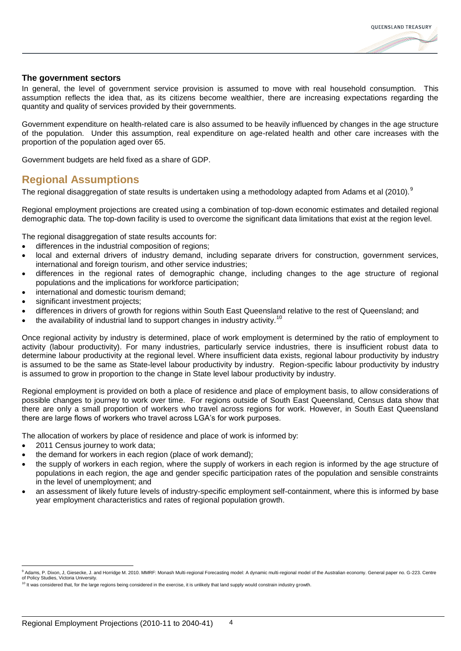

#### **The government sectors**

In general, the level of government service provision is assumed to move with real household consumption. This assumption reflects the idea that, as its citizens become wealthier, there are increasing expectations regarding the quantity and quality of services provided by their governments.

Government expenditure on health-related care is also assumed to be heavily influenced by changes in the age structure of the population. Under this assumption, real expenditure on age-related health and other care increases with the proportion of the population aged over 65.

Government budgets are held fixed as a share of GDP.

## **Regional Assumptions**

The regional disaggregation of state results is undertaken using a methodology adapted from Adams et al (2010).<sup>9</sup>

Regional employment projections are created using a combination of top-down economic estimates and detailed regional demographic data. The top-down facility is used to overcome the significant data limitations that exist at the region level.

The regional disaggregation of state results accounts for:

- differences in the industrial composition of regions;
- local and external drivers of industry demand, including separate drivers for construction, government services, international and foreign tourism, and other service industries;
- differences in the regional rates of demographic change, including changes to the age structure of regional populations and the implications for workforce participation;
- international and domestic tourism demand;
- significant investment projects:
- differences in drivers of growth for regions within South East Queensland relative to the rest of Queensland; and
- the availability of industrial land to support changes in industry activity.<sup>10</sup>

Once regional activity by industry is determined, place of work employment is determined by the ratio of employment to activity (labour productivity). For many industries, particularly service industries, there is insufficient robust data to determine labour productivity at the regional level. Where insufficient data exists, regional labour productivity by industry is assumed to be the same as State-level labour productivity by industry. Region-specific labour productivity by industry is assumed to grow in proportion to the change in State level labour productivity by industry.

Regional employment is provided on both a place of residence and place of employment basis, to allow considerations of possible changes to journey to work over time. For regions outside of South East Queensland, Census data show that there are only a small proportion of workers who travel across regions for work. However, in South East Queensland there are large flows of workers who travel across LGA's for work purposes.

The allocation of workers by place of residence and place of work is informed by:

2011 Census journey to work data;

l

- the demand for workers in each region (place of work demand);
- the supply of workers in each region, where the supply of workers in each region is informed by the age structure of populations in each region, the age and gender specific participation rates of the population and sensible constraints in the level of unemployment; and
- an assessment of likely future levels of industry-specific employment self-containment, where this is informed by base year employment characteristics and rates of regional population growth.

<sup>9</sup> Adams, P. Dixon, J, Giesecke, J. and Horridge M. 2010. MMRF: Monash Multi-regional Forecasting model: A dynamic multi-regional model of the Australian economy. General paper no. G-223. Centre of Policy Studies, Victoria University.

 $10$  It was considered that, for the large regions being considered in the exercise, it is unlikely that land supply would constrain industry growth.